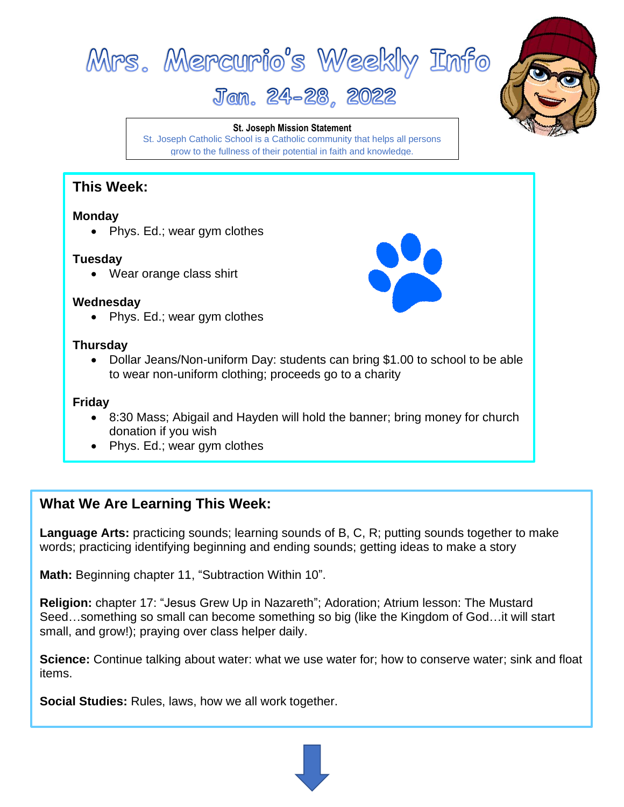



# Jan. 24-28, 2022

**St. Joseph Mission Statement**

St. Joseph Catholic School is a Catholic community that helps all persons grow to the fullness of their potential in faith and knowledge.

### **This Week:**

#### **Monday**

• Phys. Ed.; wear gym clothes

#### **Tuesday**

• Wear orange class shirt

#### **Wednesday**

• Phys. Ed.; wear gym clothes

#### **Thursday**

• Dollar Jeans/Non-uniform Day: students can bring \$1.00 to school to be able to wear non-uniform clothing; proceeds go to a charity

#### **Friday**

- 8:30 Mass; Abigail and Hayden will hold the banner; bring money for church donation if you wish
- Phys. Ed.; wear gym clothes

## **What We Are Learning This Week:**

**Language Arts:** practicing sounds; learning sounds of B, C, R; putting sounds together to make words; practicing identifying beginning and ending sounds; getting ideas to make a story

**Math:** Beginning chapter 11, "Subtraction Within 10".

**Religion:** chapter 17: "Jesus Grew Up in Nazareth"; Adoration; Atrium lesson: The Mustard Seed…something so small can become something so big (like the Kingdom of God…it will start small, and grow!); praying over class helper daily.

**Science:** Continue talking about water: what we use water for; how to conserve water; sink and float items.

**Social Studies:** Rules, laws, how we all work together.